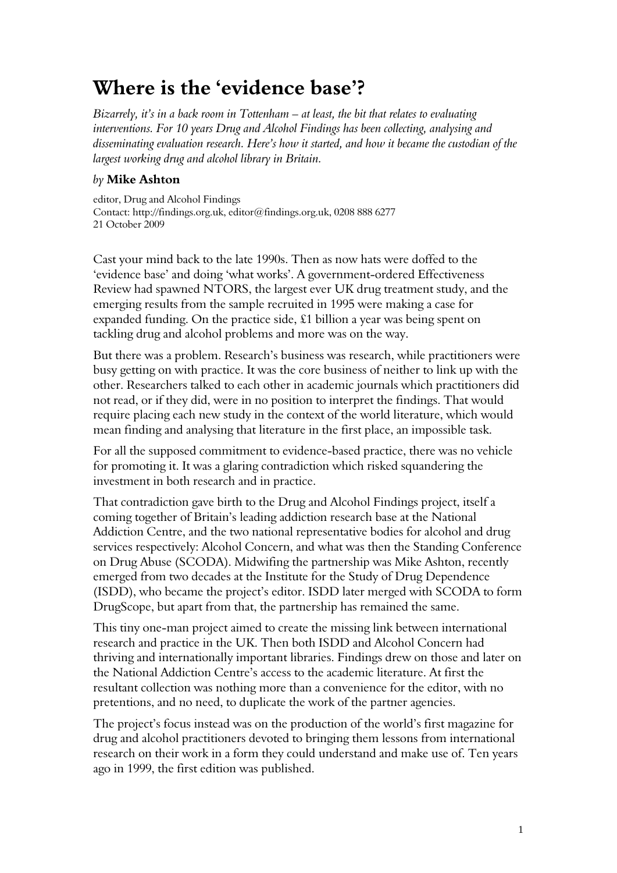## **Where is the 'evidence base'?**

*Bizarrely, it's in a back room in Tottenham – at least, the bit that relates to evaluating interventions. For 10 years Drug and Alcohol Findings has been collecting, analysing and disseminating evaluation research. Here's how it started, and how it became the custodian of the largest working drug and alcohol library in Britain.* 

## *by* **Mike Ashton**

editor, Drug and Alcohol Findings Contact: http://findings.org.uk, editor@findings.org.uk, 0208 888 6277 21 October 2009

Cast your mind back to the late 1990s. Then as now hats were doffed to the 'evidence base' and doing 'what works'. A government-ordered Effectiveness Review had spawned NTORS, the largest ever UK drug treatment study, and the emerging results from the sample recruited in 1995 were making a case for expanded funding. On the practice side, £1 billion a year was being spent on tackling drug and alcohol problems and more was on the way.

But there was a problem. Research's business was research, while practitioners were busy getting on with practice. It was the core business of neither to link up with the other. Researchers talked to each other in academic journals which practitioners did not read, or if they did, were in no position to interpret the findings. That would require placing each new study in the context of the world literature, which would mean finding and analysing that literature in the first place, an impossible task.

For all the supposed commitment to evidence-based practice, there was no vehicle for promoting it. It was a glaring contradiction which risked squandering the investment in both research and in practice.

That contradiction gave birth to the Drug and Alcohol Findings project, itself a coming together of Britain's leading addiction research base at the National Addiction Centre, and the two national representative bodies for alcohol and drug services respectively: Alcohol Concern, and what was then the Standing Conference on Drug Abuse (SCODA). Midwifing the partnership was Mike Ashton, recently emerged from two decades at the Institute for the Study of Drug Dependence (ISDD), who became the project's editor. ISDD later merged with SCODA to form DrugScope, but apart from that, the partnership has remained the same.

This tiny one-man project aimed to create the missing link between international research and practice in the UK. Then both ISDD and Alcohol Concern had thriving and internationally important libraries. Findings drew on those and later on the National Addiction Centre's access to the academic literature. At first the resultant collection was nothing more than a convenience for the editor, with no pretentions, and no need, to duplicate the work of the partner agencies.

The project's focus instead was on the production of the world's first magazine for drug and alcohol practitioners devoted to bringing them lessons from international research on their work in a form they could understand and make use of. Ten years ago in 1999, the first edition was published.